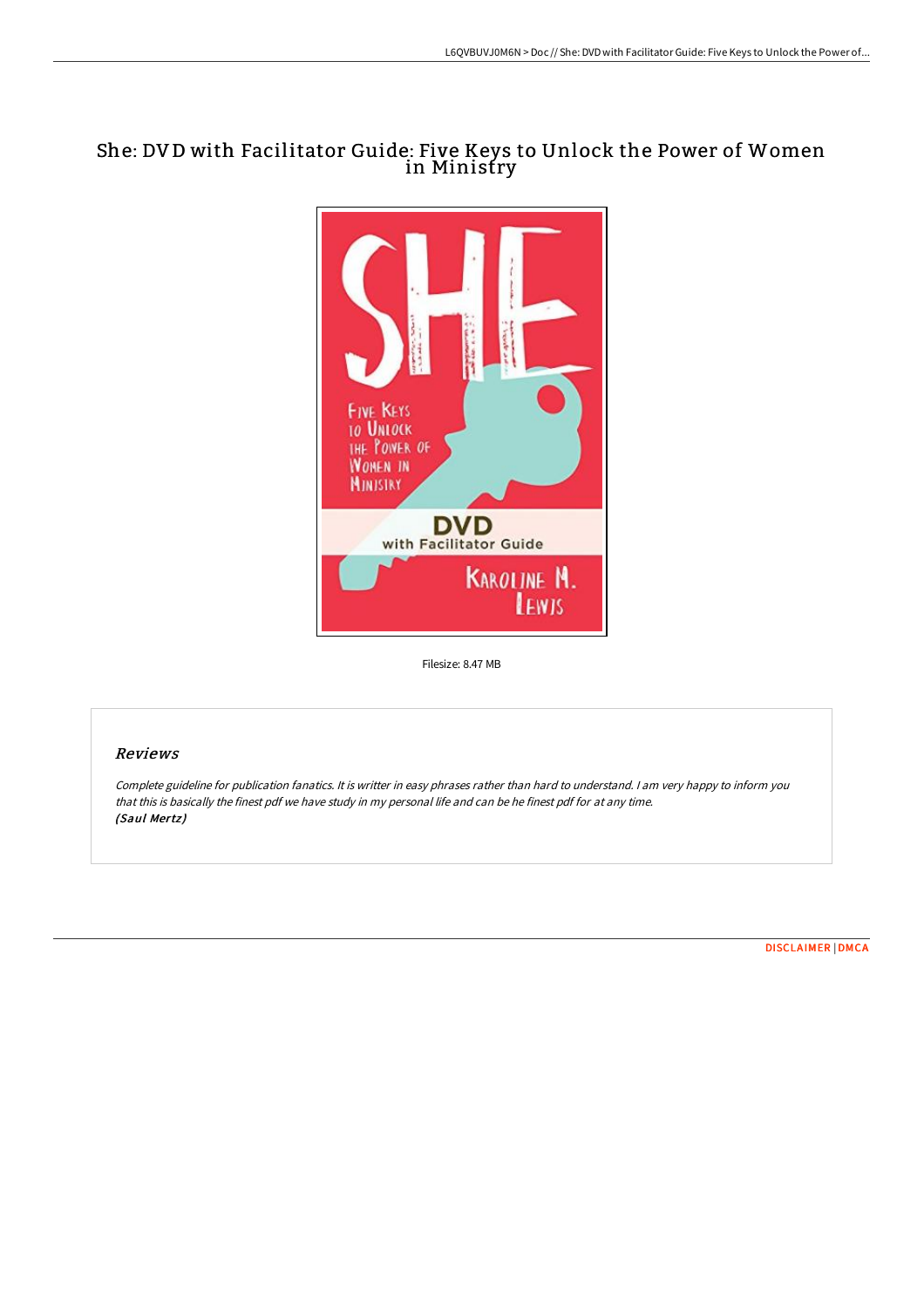## She: DV D with Facilitator Guide: Five Keys to Unlock the Power of Women in Ministry



Filesize: 8.47 MB

## Reviews

Complete guideline for publication fanatics. It is writter in easy phrases rather than hard to understand. <sup>I</sup> am very happy to inform you that this is basically the finest pdf we have study in my personal life and can be he finest pdf for at any time. (Saul Mertz)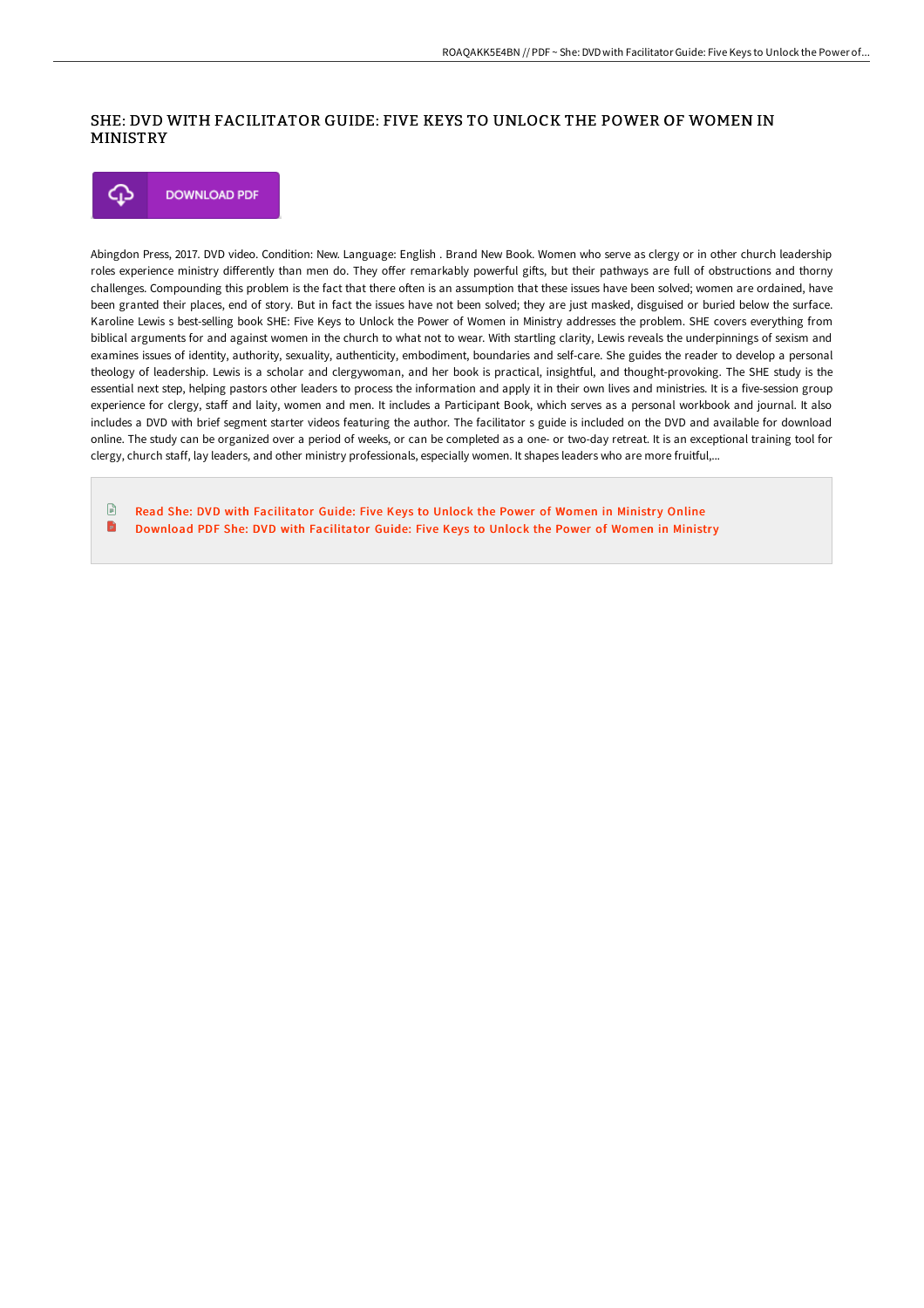## SHE: DVD WITH FACILITATOR GUIDE: FIVE KEYS TO UNLOCK THE POWER OF WOMEN IN MINISTRY



Abingdon Press, 2017. DVD video. Condition: New. Language: English . Brand New Book. Women who serve as clergy or in other church leadership roles experience ministry differently than men do. They offer remarkably powerful gifts, but their pathways are full of obstructions and thorny challenges. Compounding this problem is the fact that there often is an assumption that these issues have been solved; women are ordained, have been granted their places, end of story. But in fact the issues have not been solved; they are just masked, disguised or buried below the surface. Karoline Lewis s best-selling book SHE: Five Keys to Unlock the Power of Women in Ministry addresses the problem. SHE covers everything from biblical arguments for and against women in the church to what not to wear. With startling clarity, Lewis reveals the underpinnings of sexism and examines issues of identity, authority, sexuality, authenticity, embodiment, boundaries and self-care. She guides the reader to develop a personal theology of leadership. Lewis is a scholar and clergywoman, and her book is practical, insightful, and thought-provoking. The SHE study is the essential next step, helping pastors other leaders to process the information and apply it in their own lives and ministries. It is a five-session group experience for clergy, staff and laity, women and men. It includes a Participant Book, which serves as a personal workbook and journal. It also includes a DVD with brief segment starter videos featuring the author. The facilitator s guide is included on the DVD and available for download online. The study can be organized over a period of weeks, or can be completed as a one- or two-day retreat. It is an exceptional training tool for clergy, church staff, lay leaders, and other ministry professionals, especially women. It shapes leaders who are more fruitful,...

 $\mathbb{R}$ Read She: DVD with [Facilitator](http://techno-pub.tech/she-dvd-with-facilitator-guide-five-keys-to-unlo.html) Guide: Five Keys to Unlock the Power of Women in Ministry Online B Download PDF She: DVD with [Facilitator](http://techno-pub.tech/she-dvd-with-facilitator-guide-five-keys-to-unlo.html) Guide: Five Keys to Unlock the Power of Women in Ministry